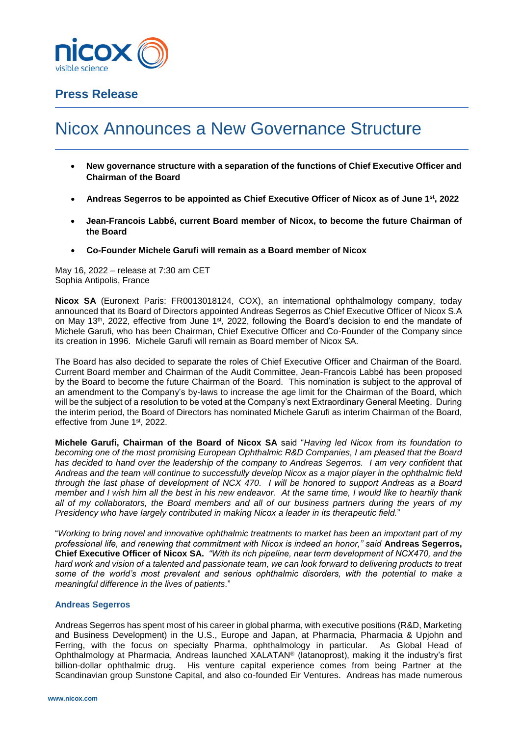

# **Press Release**

# Nicox Announces a New Governance Structure

- **New governance structure with a separation of the functions of Chief Executive Officer and Chairman of the Board**
- **Andreas Segerros to be appointed as Chief Executive Officer of Nicox as of June 1st, 2022**
- **Jean-Francois Labbé, current Board member of Nicox, to become the future Chairman of the Board**
- **Co-Founder Michele Garufi will remain as a Board member of Nicox**

May 16, 2022 – release at 7:30 am CET Sophia Antipolis, France

**Nicox SA** (Euronext Paris: FR0013018124, COX), an international ophthalmology company, today announced that its Board of Directors appointed Andreas Segerros as Chief Executive Officer of Nicox S.A on May 13<sup>th</sup>, 2022, effective from June 1<sup>st</sup>, 2022, following the Board's decision to end the mandate of Michele Garufi, who has been Chairman, Chief Executive Officer and Co-Founder of the Company since its creation in 1996. Michele Garufi will remain as Board member of Nicox SA.

The Board has also decided to separate the roles of Chief Executive Officer and Chairman of the Board. Current Board member and Chairman of the Audit Committee, Jean-Francois Labbé has been proposed by the Board to become the future Chairman of the Board. This nomination is subject to the approval of an amendment to the Company's by-laws to increase the age limit for the Chairman of the Board, which will be the subject of a resolution to be voted at the Company's next Extraordinary General Meeting. During the interim period, the Board of Directors has nominated Michele Garufi as interim Chairman of the Board, effective from June 1<sup>st</sup>, 2022.

**Michele Garufi, Chairman of the Board of Nicox SA** said "*Having led Nicox from its foundation to becoming one of the most promising European Ophthalmic R&D Companies, I am pleased that the Board has decided to hand over the leadership of the company to Andreas Segerros. I am very confident that Andreas and the team will continue to successfully develop Nicox as a major player in the ophthalmic field through the last phase of development of NCX 470. I will be honored to support Andreas as a Board member and I wish him all the best in his new endeavor. At the same time, I would like to heartily thank all of my collaborators, the Board members and all of our business partners during the years of my Presidency who have largely contributed in making Nicox a leader in its therapeutic field.*"

"*Working to bring novel and innovative ophthalmic treatments to market has been an important part of my professional life, and renewing that commitment with Nicox is indeed an honor," said* **Andreas Segerros, Chief Executive Officer of Nicox SA.** *"With its rich pipeline, near term development of NCX470, and the hard work and vision of a talented and passionate team, we can look forward to delivering products to treat some of the world's most prevalent and serious ophthalmic disorders, with the potential to make a meaningful difference in the lives of patients.*"

## **Andreas Segerros**

Andreas Segerros has spent most of his career in global pharma, with executive positions (R&D, Marketing and Business Development) in the U.S., Europe and Japan, at Pharmacia, Pharmacia & Upjohn and Ferring, with the focus on specialty Pharma, ophthalmology in particular. As Global Head of Ophthalmology at Pharmacia, Andreas launched XALATAN® (latanoprost), making it the industry's first billion-dollar ophthalmic drug. His venture capital experience comes from being Partner at the Scandinavian group Sunstone Capital, and also co-founded Eir Ventures. Andreas has made numerous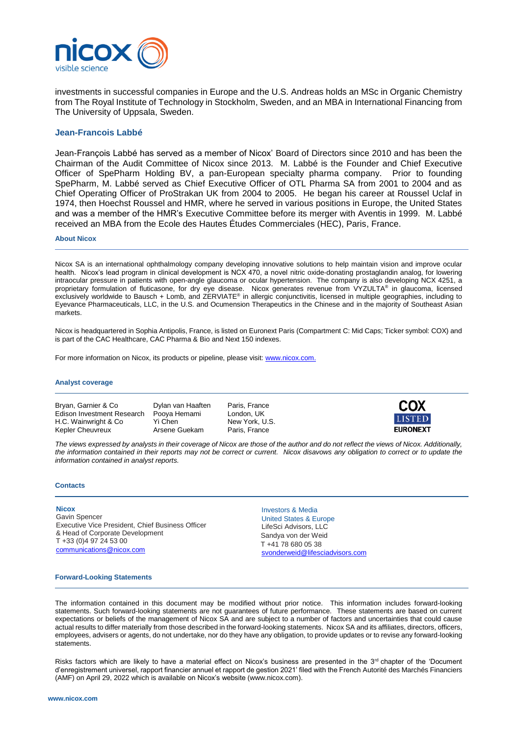

investments in successful companies in Europe and the U.S. Andreas holds an MSc in Organic Chemistry from The Royal Institute of Technology in Stockholm, Sweden, and an MBA in International Financing from The University of Uppsala, Sweden.

### **Jean-Francois Labbé**

Jean-François Labbé has served as a member of Nicox' Board of Directors since 2010 and has been the Chairman of the Audit Committee of Nicox since 2013. M. Labbé is the Founder and Chief Executive Officer of SpePharm Holding BV, a pan-European specialty pharma company. Prior to founding SpePharm, M. Labbé served as Chief Executive Officer of OTL Pharma SA from 2001 to 2004 and as Chief Operating Officer of ProStrakan UK from 2004 to 2005. He began his career at Roussel Uclaf in 1974, then Hoechst Roussel and HMR, where he served in various positions in Europe, the United States and was a member of the HMR's Executive Committee before its merger with Aventis in 1999. M. Labbé received an MBA from the Ecole des Hautes Études Commerciales (HEC), Paris, France.

#### **About Nicox**

Nicox SA is an international ophthalmology company developing innovative solutions to help maintain vision and improve ocular health. Nicox's lead program in clinical development is NCX 470, a novel nitric oxide-donating prostaglandin analog, for lowering intraocular pressure in patients with open-angle glaucoma or ocular hypertension. The company is also developing NCX 4251, a proprietary formulation of fluticasone, for dry eye disease. Nicox generates revenue from VYZULTA® in glaucoma, licensed exclusively worldwide to Bausch + Lomb, and ZERVIATE® in allergic conjunctivitis, licensed in multiple geographies, including to Eyevance Pharmaceuticals, LLC, in the U.S. and Ocumension Therapeutics in the Chinese and in the majority of Southeast Asian markets.

Nicox is headquartered in Sophia Antipolis, France, is listed on Euronext Paris (Compartment C: Mid Caps; Ticker symbol: COX) and is part of the CAC Healthcare, CAC Pharma & Bio and Next 150 indexes.

For more information on Nicox, its products or pipeline, please visit[: www.nicox.com.](http://www.nicox.com/)

#### **Analyst coverage**

Bryan, Garnier & Co Dylan van Haaften Paris, France Edison Investment Research Pooya Hemami London, UK<br>H.C. Wainwright & Co Yi Chen New York, U.S. H.C. Wainwright & Co Yi Chen Kepler Cheuvreux **Arsene Guekam** Paris, France



*The views expressed by analysts in their coverage of Nicox are those of the author and do not reflect the views of Nicox. Additionally, the information contained in their reports may not be correct or current. Nicox disavows any obligation to correct or to update the information contained in analyst reports.*

#### **Contacts**

#### **Nicox**

Gavin Spencer Executive Vice President, Chief Business Officer & Head of Corporate Development T +33 (0)4 97 24 53 00 [communications@nicox.com](mailto:communications@nicox.com) 

Investors & Media United States & Europe LifeSci Advisors, LLC Sandya von der Weid T +41 78 680 05 38 [svonderweid@lifesciadvisors.com](mailto:svonderweid@lifesciadvisors.com)

#### **Forward-Looking Statements**

The information contained in this document may be modified without prior notice. This information includes forward-looking statements. Such forward-looking statements are not guarantees of future performance. These statements are based on current expectations or beliefs of the management of Nicox SA and are subject to a number of factors and uncertainties that could cause actual results to differ materially from those described in the forward-looking statements. Nicox SA and its affiliates, directors, officers, employees, advisers or agents, do not undertake, nor do they have any obligation, to provide updates or to revise any forward-looking statements.

Risks factors which are likely to have a material effect on Nicox's business are presented in the 3<sup>rd</sup> chapter of the 'Document d'enregistrement universel, rapport financier annuel et rapport de gestion 2021' filed with the French Autorité des Marchés Financiers (AMF) on April 29, 2022 which is available on Nicox's website [\(www.nicox.com\)](http://www.nicox.com/).